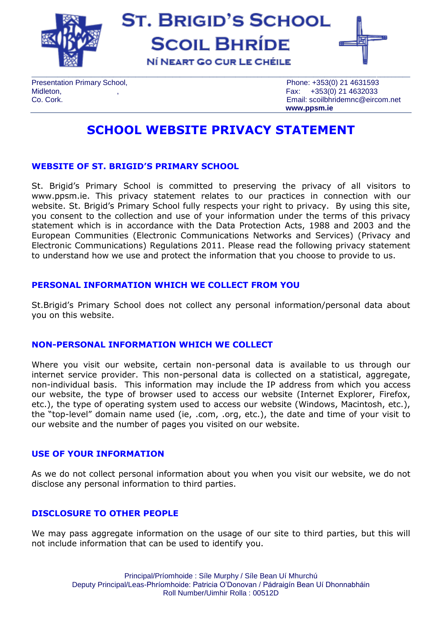

**ST. BRIGID'S SCHOOL SCOIL BHRÍDE** NÍ NEART GO CUR LE CHÉILE



Presentation Primary School, **Presentation Primary School**, **Phone: +353(0) 21 4631593** Midleton, , Fax: +353(0) 21 4632033

Co. Cork. Email: scoilbhridemnc@eircom.net **www.ppsm.ie**

# **SCHOOL WEBSITE PRIVACY STATEMENT**

## **WEBSITE OF ST. BRIGID'S PRIMARY SCHOOL**

St. Brigid's Primary School is committed to preserving the privacy of all visitors to [www.ppsm.ie.](http://www.ppsm.ie/) This privacy statement relates to our practices in connection with our website. St. Brigid's Primary School fully respects your right to privacy. By using this site, you consent to the collection and use of your information under the terms of this privacy statement which is in accordance with the Data Protection Acts, 1988 and 2003 and the European Communities (Electronic Communications Networks and Services) (Privacy and Electronic Communications) Regulations 2011. Please read the following privacy statement to understand how we use and protect the information that you choose to provide to us.

### **PERSONAL INFORMATION WHICH WE COLLECT FROM YOU**

St.Brigid's Primary School does not collect any personal information/personal data about you on this website.

## **NON-PERSONAL INFORMATION WHICH WE COLLECT**

Where you visit our website, certain non-personal data is available to us through our internet service provider. This non-personal data is collected on a statistical, aggregate, non-individual basis. This information may include the IP address from which you access our website, the type of browser used to access our website (Internet Explorer, Firefox, etc.), the type of operating system used to access our website (Windows, Macintosh, etc.), the "top-level" domain name used (ie, .com, .org, etc.), the date and time of your visit to our website and the number of pages you visited on our website.

## **USE OF YOUR INFORMATION**

As we do not collect personal information about you when you visit our website, we do not disclose any personal information to third parties.

## **DISCLOSURE TO OTHER PEOPLE**

We may pass aggregate information on the usage of our site to third parties, but this will not include information that can be used to identify you.